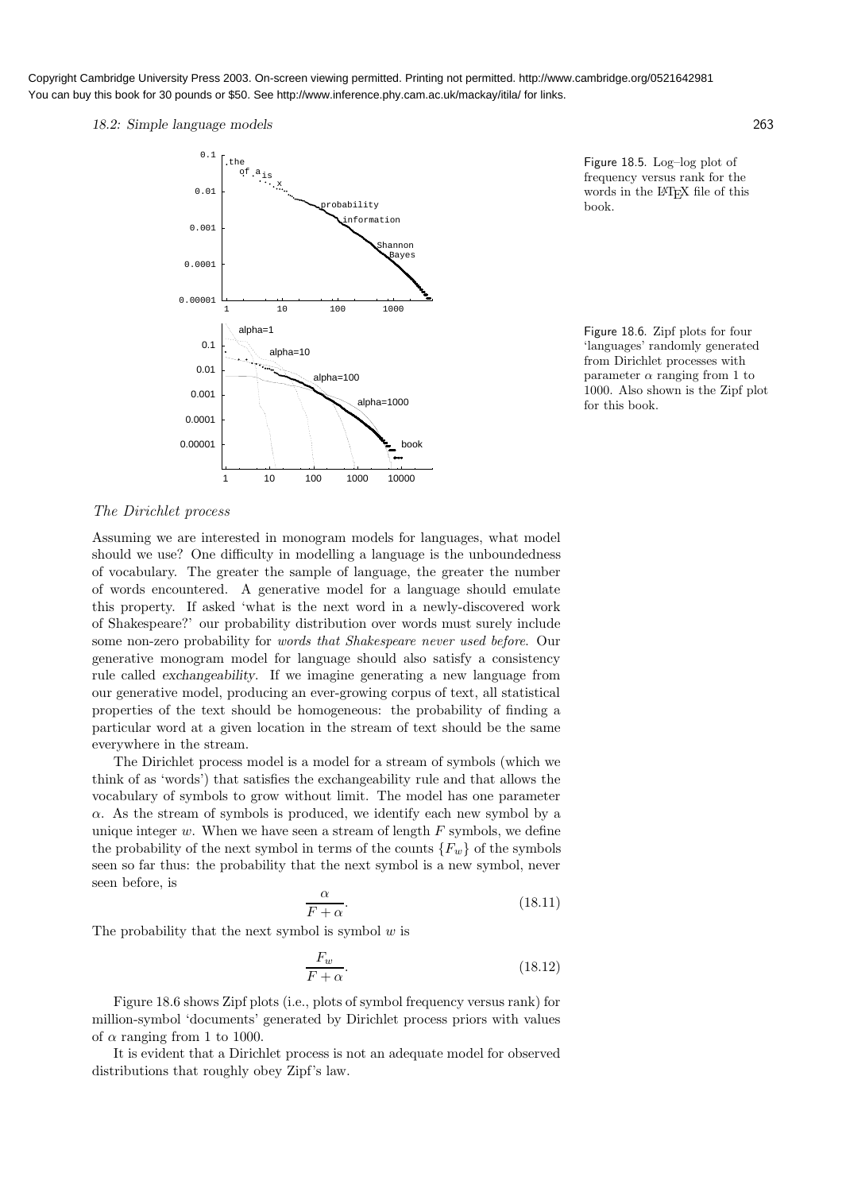Copyright Cambridge University Press 2003. On-screen viewing permitted. Printing not permitted. http://www.cambridge.org/0521642981 You can buy this book for 30 pounds or \$50. See http://www.inference.phy.cam.ac.uk/mackay/itila/ for links.

18.2: Simple language models 263



Figure 18.5. Log–log plot of frequency versus rank for the words in the IAT<sub>EX</sub> file of this book.

Figure 18.6. Zipf plots for four 'languages' randomly generated from Dirichlet processes with parameter  $\alpha$  ranging from 1 to 1000. Also shown is the Zipf plot for this book.

## The Dirichlet process

Assuming we are interested in monogram models for languages, what model should we use? One difficulty in modelling a language is the unboundedness of vocabulary. The greater the sample of language, the greater the number of words encountered. A generative model for a language should emulate this property. If asked 'what is the next word in a newly-discovered work of Shakespeare?' our probability distribution over words must surely include some non-zero probability for words that Shakespeare never used before. Our generative monogram model for language should also satisfy a consistency rule called exchangeability. If we imagine generating a new language from our generative model, producing an ever-growing corpus of text, all statistical properties of the text should be homogeneous: the probability of finding a particular word at a given location in the stream of text should be the same everywhere in the stream.

The Dirichlet process model is a model for a stream of symbols (which we think of as 'words') that satisfies the exchangeability rule and that allows the vocabulary of symbols to grow without limit. The model has one parameter  $\alpha$ . As the stream of symbols is produced, we identify each new symbol by a unique integer  $w$ . When we have seen a stream of length  $F$  symbols, we define the probability of the next symbol in terms of the counts  ${F_w}$  of the symbols seen so far thus: the probability that the next symbol is a new symbol, never seen before, is

$$
\frac{\alpha}{F + \alpha}.\tag{18.11}
$$

The probability that the next symbol is symbol  $w$  is

$$
\frac{F_w}{F + \alpha}.\tag{18.12}
$$

Figure 18.6 shows Zipf plots (i.e., plots of symbol frequency versus rank) for million-symbol 'documents' generated by Dirichlet process priors with values of  $\alpha$  ranging from 1 to 1000.

It is evident that a Dirichlet process is not an adequate model for observed distributions that roughly obey Zipf's law.